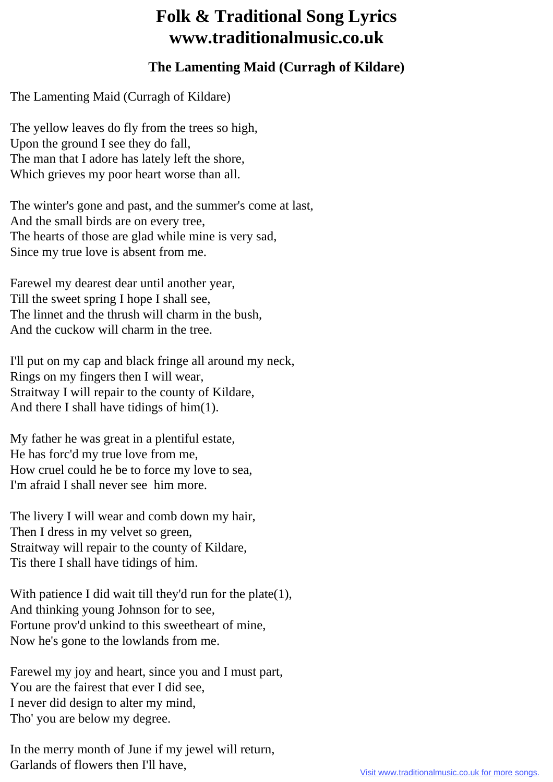## **Folk & Traditional Song Lyrics www.traditionalmusic.co.uk**

## **The Lamenting Maid (Curragh of Kildare)**

The Lamenting Maid (Curragh of Kildare)

The yellow leaves do fly from the trees so high, Upon the ground I see they do fall, The man that I adore has lately left the shore, Which grieves my poor heart worse than all.

The winter's gone and past, and the summer's come at last, And the small birds are on every tree, The hearts of those are glad while mine is very sad, Since my true love is absent from me.

Farewel my dearest dear until another year, Till the sweet spring I hope I shall see, The linnet and the thrush will charm in the bush, And the cuckow will charm in the tree.

I'll put on my cap and black fringe all around my neck, Rings on my fingers then I will wear, Straitway I will repair to the county of Kildare, And there I shall have tidings of him(1).

My father he was great in a plentiful estate, He has forc'd my true love from me, How cruel could he be to force my love to sea, I'm afraid I shall never see him more.

The livery I will wear and comb down my hair, Then I dress in my velvet so green, Straitway will repair to the county of Kildare, Tis there I shall have tidings of him.

With patience I did wait till they'd run for the plate(1), And thinking young Johnson for to see, Fortune prov'd unkind to this sweetheart of mine, Now he's gone to the lowlands from me.

Farewel my joy and heart, since you and I must part, You are the fairest that ever I did see, I never did design to alter my mind, Tho' you are below my degree.

In the merry month of June if my jewel will return, Garlands of flowers then I'll have,